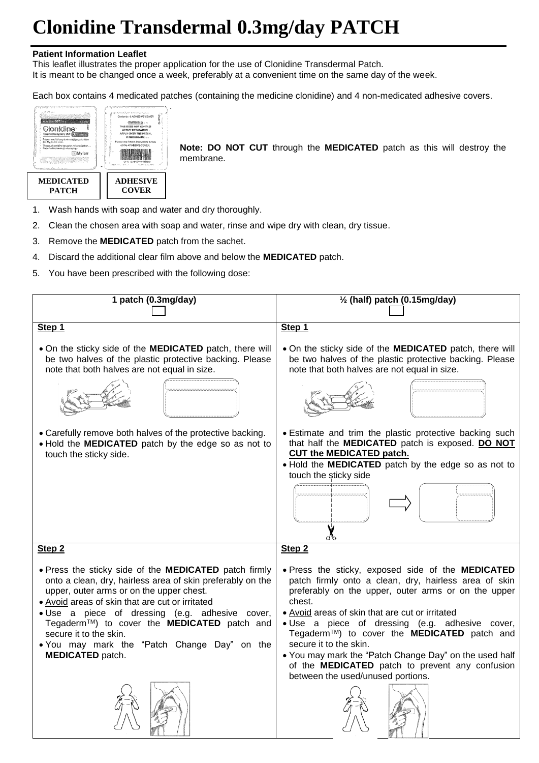# **Clonidine Transdermal 0.3mg/day PATCH**

#### **Patient Information Leaflet**

This leaflet illustrates the proper application for the use of Clonidine Transdermal Patch.

It is meant to be changed once a week, preferably at a convenient time on the same day of the week.

Each box contains 4 medicated patches (containing the medicine clonidine) and 4 non-medicated adhesive covers.



**Note: DO NOT CUT** through the **MEDICATED** patch as this will destroy the membrane.

- 1. Wash hands with soap and water and dry thoroughly.
- 2. Clean the chosen area with soap and water, rinse and wipe dry with clean, dry tissue.
- 3. Remove the **MEDICATED** patch from the sachet.
- 4. Discard the additional clear film above and below the **MEDICATED** patch.
- 5. You have been prescribed with the following dose: